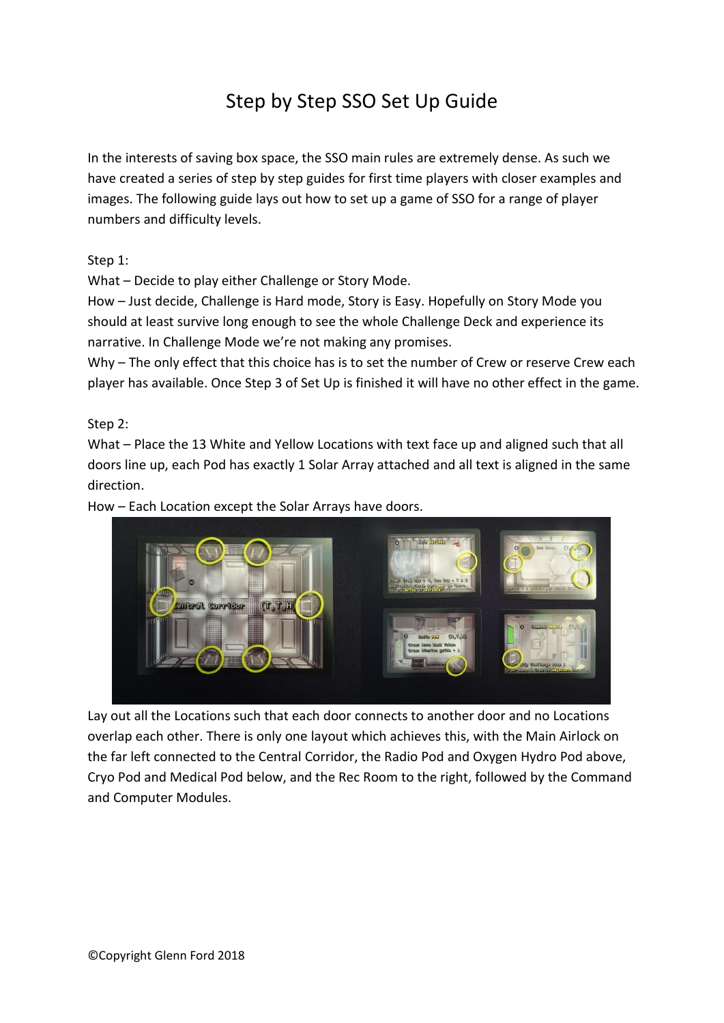# Step by Step SSO Set Up Guide

In the interests of saving box space, the SSO main rules are extremely dense. As such we have created a series of step by step guides for first time players with closer examples and images. The following guide lays out how to set up a game of SSO for a range of player numbers and difficulty levels.

Step 1:

What – Decide to play either Challenge or Story Mode.

How – Just decide, Challenge is Hard mode, Story is Easy. Hopefully on Story Mode you should at least survive long enough to see the whole Challenge Deck and experience its narrative. In Challenge Mode we're not making any promises.

Why – The only effect that this choice has is to set the number of Crew or reserve Crew each player has available. Once Step 3 of Set Up is finished it will have no other effect in the game.

Step 2:

What – Place the 13 White and Yellow Locations with text face up and aligned such that all doors line up, each Pod has exactly 1 Solar Array attached and all text is aligned in the same direction.

How – Each Location except the Solar Arrays have doors.



Lay out all the Locations such that each door connects to another door and no Locations overlap each other. There is only one layout which achieves this, with the Main Airlock on the far left connected to the Central Corridor, the Radio Pod and Oxygen Hydro Pod above, Cryo Pod and Medical Pod below, and the Rec Room to the right, followed by the Command and Computer Modules.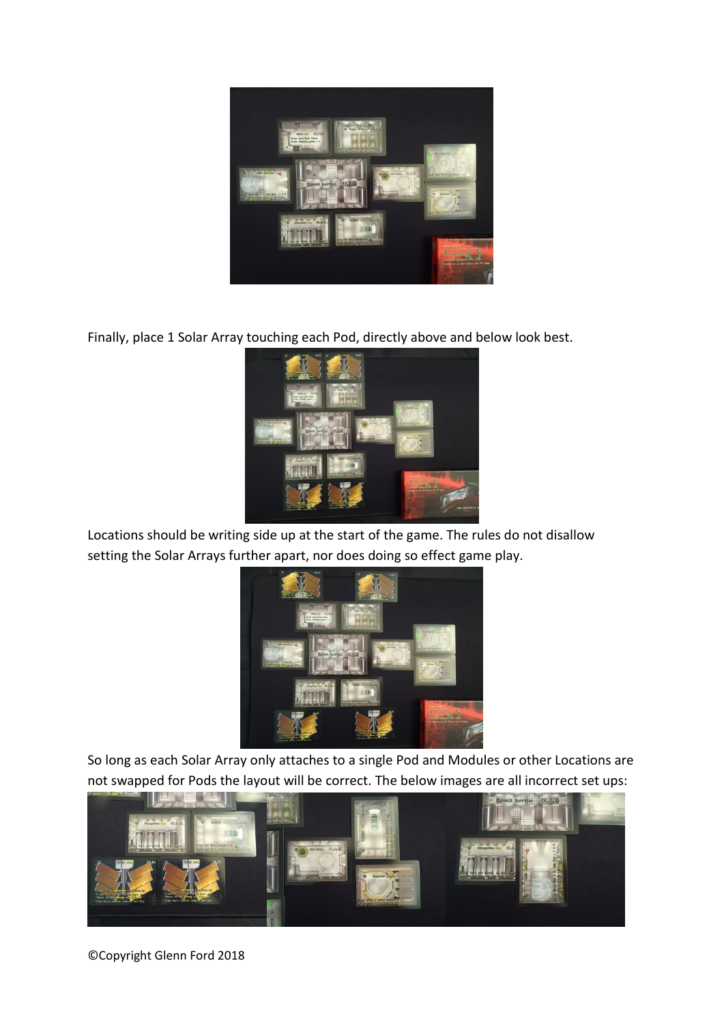

Finally, place 1 Solar Array touching each Pod, directly above and below look best.



Locations should be writing side up at the start of the game. The rules do not disallow setting the Solar Arrays further apart, nor does doing so effect game play.



So long as each Solar Array only attaches to a single Pod and Modules or other Locations are not swapped for Pods the layout will be correct. The below images are all incorrect set ups:



©Copyright Glenn Ford 2018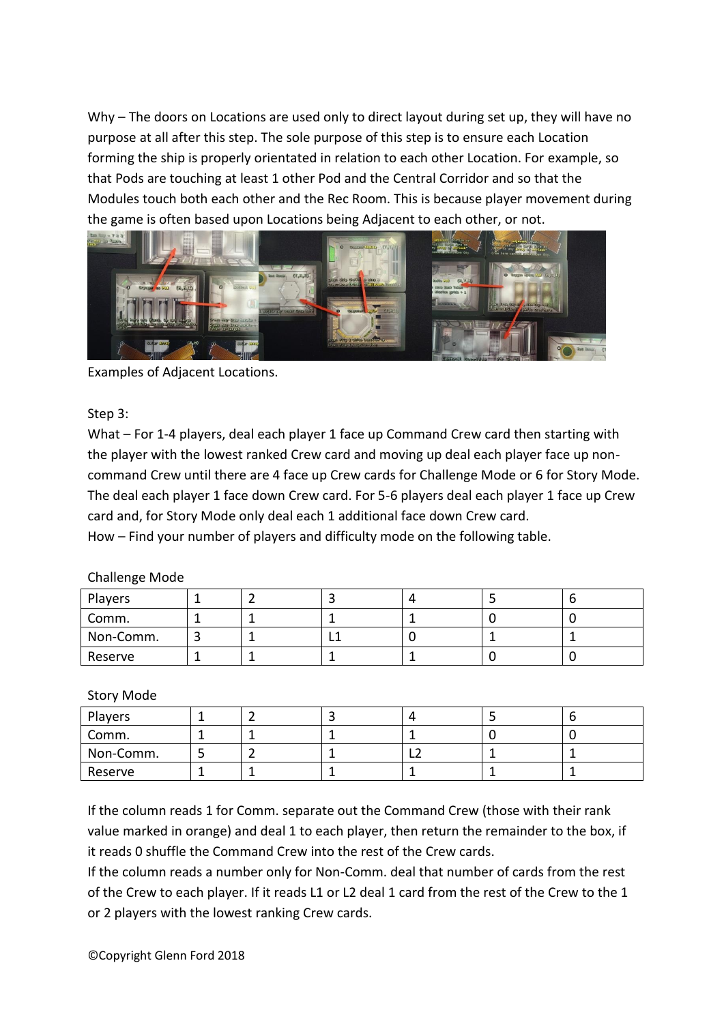Why – The doors on Locations are used only to direct layout during set up, they will have no purpose at all after this step. The sole purpose of this step is to ensure each Location forming the ship is properly orientated in relation to each other Location. For example, so that Pods are touching at least 1 other Pod and the Central Corridor and so that the Modules touch both each other and the Rec Room. This is because player movement during the game is often based upon Locations being Adjacent to each other, or not.



Examples of Adjacent Locations.

## Step 3:

What – For 1-4 players, deal each player 1 face up Command Crew card then starting with the player with the lowest ranked Crew card and moving up deal each player face up noncommand Crew until there are 4 face up Crew cards for Challenge Mode or 6 for Story Mode. The deal each player 1 face down Crew card. For 5-6 players deal each player 1 face up Crew card and, for Story Mode only deal each 1 additional face down Crew card.

How – Find your number of players and difficulty mode on the following table.

| Players   |  |  |  |
|-----------|--|--|--|
| Comm.     |  |  |  |
| Non-Comm. |  |  |  |
| Reserve   |  |  |  |

## Challenge Mode

## Story Mode

| Players   |  |   |  |
|-----------|--|---|--|
| Comm.     |  |   |  |
| Non-Comm. |  | └ |  |
| Reserve   |  |   |  |

If the column reads 1 for Comm. separate out the Command Crew (those with their rank value marked in orange) and deal 1 to each player, then return the remainder to the box, if it reads 0 shuffle the Command Crew into the rest of the Crew cards.

If the column reads a number only for Non-Comm. deal that number of cards from the rest of the Crew to each player. If it reads L1 or L2 deal 1 card from the rest of the Crew to the 1 or 2 players with the lowest ranking Crew cards.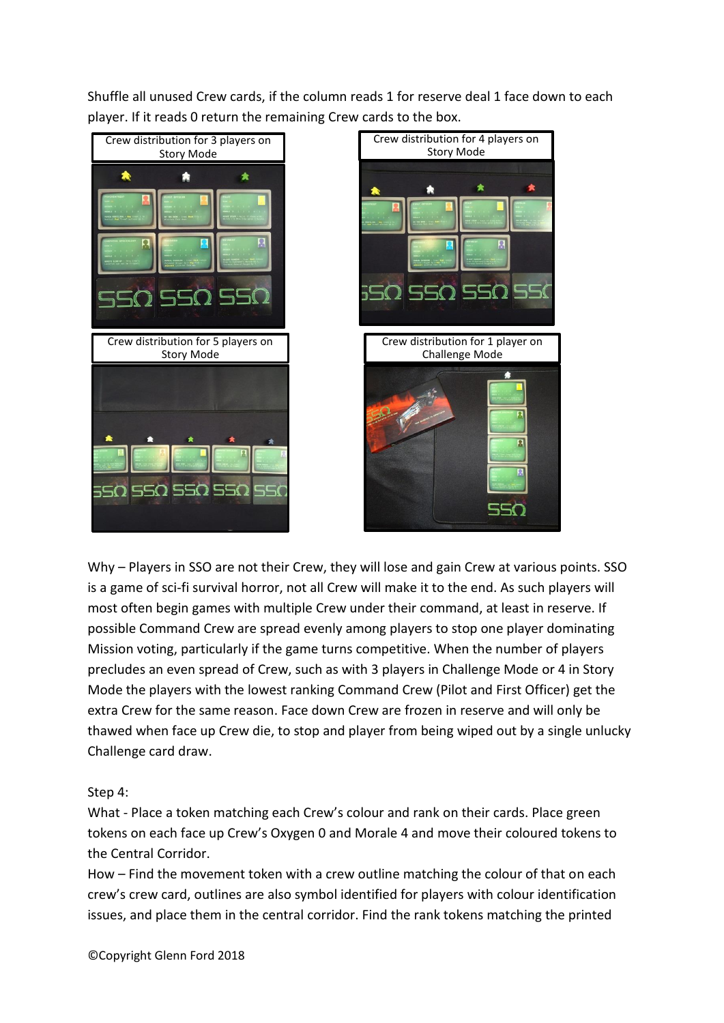Shuffle all unused Crew cards, if the column reads 1 for reserve deal 1 face down to each player. If it reads 0 return the remaining Crew cards to the box.



Why – Players in SSO are not their Crew, they will lose and gain Crew at various points. SSO is a game of sci-fi survival horror, not all Crew will make it to the end. As such players will most often begin games with multiple Crew under their command, at least in reserve. If possible Command Crew are spread evenly among players to stop one player dominating Mission voting, particularly if the game turns competitive. When the number of players precludes an even spread of Crew, such as with 3 players in Challenge Mode or 4 in Story Mode the players with the lowest ranking Command Crew (Pilot and First Officer) get the extra Crew for the same reason. Face down Crew are frozen in reserve and will only be thawed when face up Crew die, to stop and player from being wiped out by a single unlucky Challenge card draw.

Step 4:

What - Place a token matching each Crew's colour and rank on their cards. Place green tokens on each face up Crew's Oxygen 0 and Morale 4 and move their coloured tokens to the Central Corridor.

How – Find the movement token with a crew outline matching the colour of that on each crew's crew card, outlines are also symbol identified for players with colour identification issues, and place them in the central corridor. Find the rank tokens matching the printed